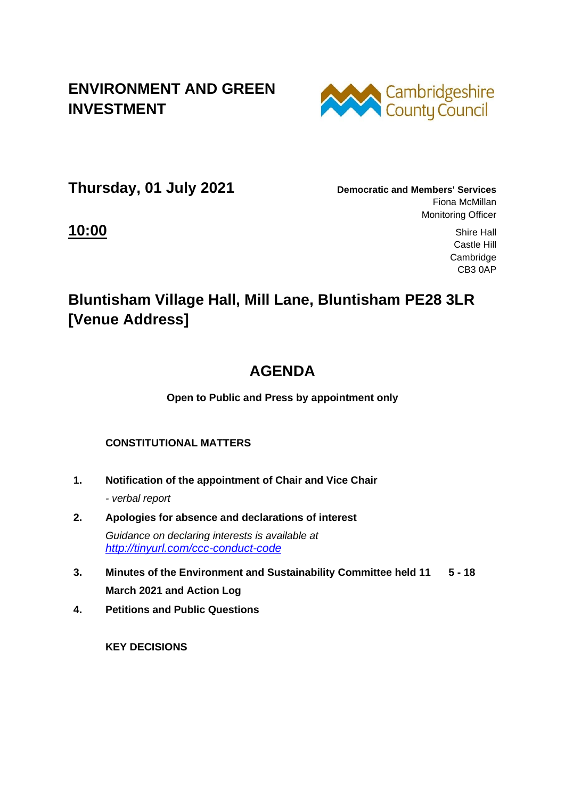### **ENVIRONMENT AND GREEN INVESTMENT**



**Thursday, 01 July 2021 Democratic and Members' Services**

Fiona McMillan Monitoring Officer

**10:00** Shire Hall Castle Hill Cambridge CB3 0AP

# **Bluntisham Village Hall, Mill Lane, Bluntisham PE28 3LR [Venue Address]**

# **AGENDA**

**Open to Public and Press by appointment only**

#### **CONSTITUTIONAL MATTERS**

- **1. Notification of the appointment of Chair and Vice Chair** *- verbal report*
- **2. Apologies for absence and declarations of interest** *Guidance on declaring interests is available at <http://tinyurl.com/ccc-conduct-code>*
- **3. Minutes of the Environment and Sustainability Committee held 11 5 - 18 March 2021 and Action Log**
- **4. Petitions and Public Questions**

 **KEY DECISIONS**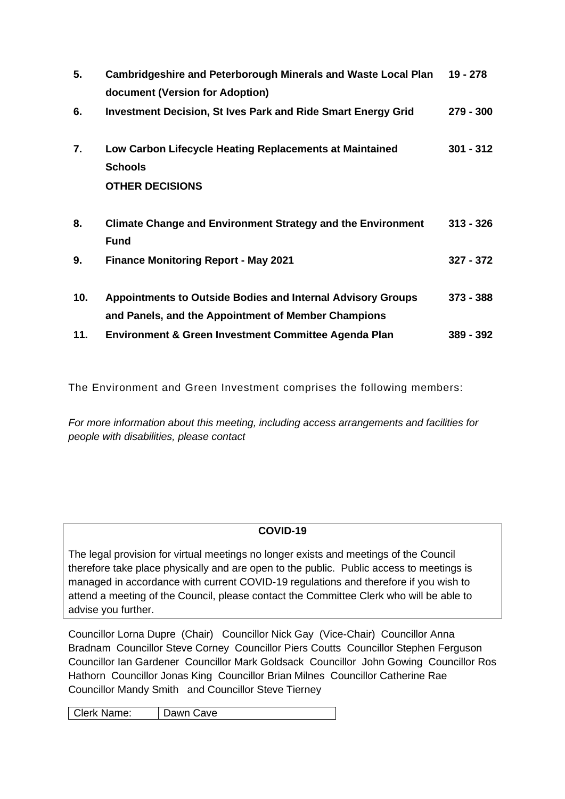| 5.  | <b>Cambridgeshire and Peterborough Minerals and Waste Local Plan</b><br>document (Version for Adoption)                   | 19 - 278    |
|-----|---------------------------------------------------------------------------------------------------------------------------|-------------|
| 6.  | <b>Investment Decision, St Ives Park and Ride Smart Energy Grid</b>                                                       | $279 - 300$ |
| 7.  | Low Carbon Lifecycle Heating Replacements at Maintained<br><b>Schools</b><br><b>OTHER DECISIONS</b>                       | $301 - 312$ |
| 8.  | <b>Climate Change and Environment Strategy and the Environment</b><br><b>Fund</b>                                         | $313 - 326$ |
| 9.  | <b>Finance Monitoring Report - May 2021</b>                                                                               | $327 - 372$ |
| 10. | <b>Appointments to Outside Bodies and Internal Advisory Groups</b><br>and Panels, and the Appointment of Member Champions | $373 - 388$ |
| 11. | Environment & Green Investment Committee Agenda Plan                                                                      | 389 - 392   |

The Environment and Green Investment comprises the following members:

*For more information about this meeting, including access arrangements and facilities for people with disabilities, please contact*

#### **COVID-19**

The legal provision for virtual meetings no longer exists and meetings of the Council therefore take place physically and are open to the public. Public access to meetings is managed in accordance with current COVID-19 regulations and therefore if you wish to attend a meeting of the Council, please contact the Committee Clerk who will be able to advise you further.

Councillor Lorna Dupre (Chair) Councillor Nick Gay (Vice-Chair) Councillor Anna Bradnam Councillor Steve Corney Councillor Piers Coutts Councillor Stephen Ferguson Councillor Ian Gardener Councillor Mark Goldsack Councillor John Gowing Councillor Ros Hathorn Councillor Jonas King Councillor Brian Milnes Councillor Catherine Rae Councillor Mandy Smith and Councillor Steve Tierney

Clerk Name: Dawn Cave